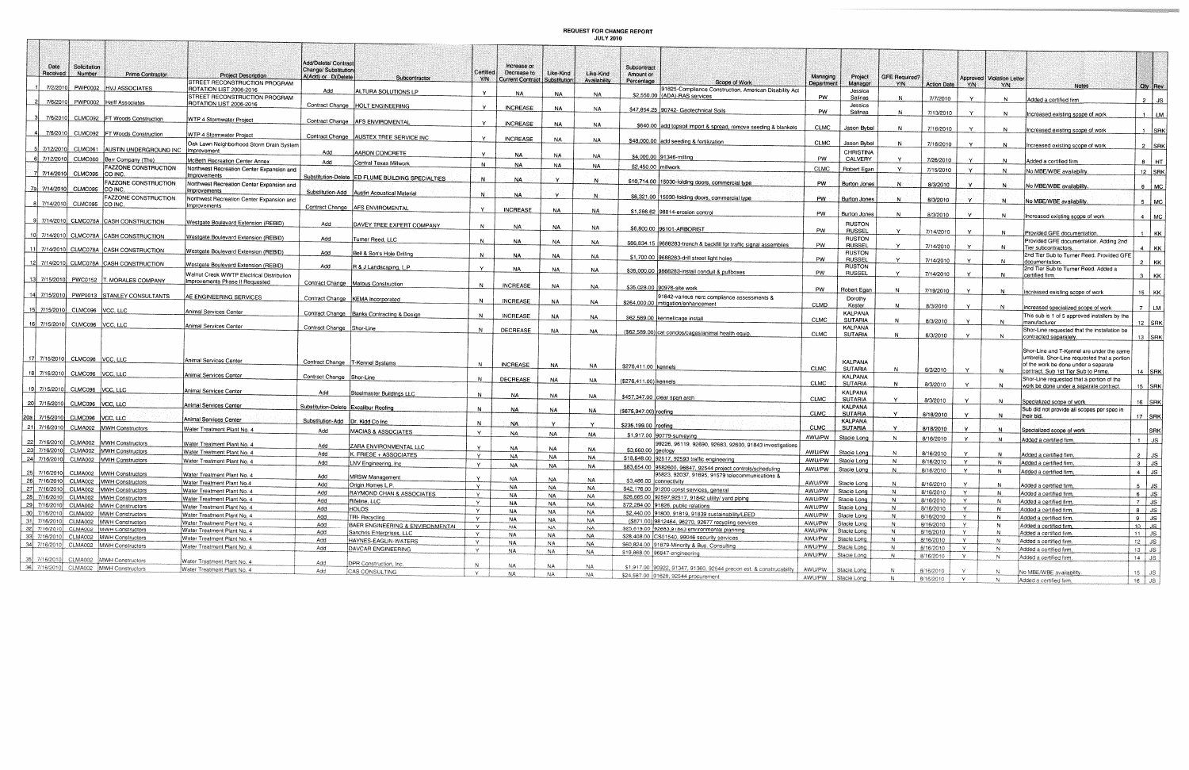**REQUEST FOR CHANGE REPORT<br>JULY 2010** 

....

|                 |                               |                                                                    |                                                            | Add/Delete/ Contract                  |                                                               |                    |                                        |                  |                 |                              |                                                                                           |                        |                                  |                             |                        |                |                                   |                                                                                           |                                                                             |          |
|-----------------|-------------------------------|--------------------------------------------------------------------|------------------------------------------------------------|---------------------------------------|---------------------------------------------------------------|--------------------|----------------------------------------|------------------|-----------------|------------------------------|-------------------------------------------------------------------------------------------|------------------------|----------------------------------|-----------------------------|------------------------|----------------|-----------------------------------|-------------------------------------------------------------------------------------------|-----------------------------------------------------------------------------|----------|
| Date<br>Heceive | Solicitation<br>Number        | Prime Contractor                                                   | <b>Project Description</b>                                 | Change/ Substitution                  |                                                               | Certified          | Increase or<br>Decrease to             | Like-Kind        | Like-Kind       | Subcontract<br>Amount or     |                                                                                           |                        |                                  |                             |                        |                |                                   |                                                                                           |                                                                             |          |
|                 |                               |                                                                    | STREET RECONSTRUCTION PROGRAM                              | A(Add) or D(Deleti                    | Subcontractor                                                 | Y/N                | <b>Current Contract   Substitution</b> |                  | Availability    | Percentage                   | Scope of Work                                                                             | Managing<br>Department | Project<br>Manager               | <b>GFE Required?</b><br>Y/N | <b>Action Date</b>     | Y/N            | Approved   Violation Letter<br>YA | <b>Notes</b>                                                                              |                                                                             |          |
| 7/2/2010        |                               | PWP0002  HVJ ASSOCIATES                                            | ROTATION LIST 2006-2016                                    | Add                                   | ALTURA SOLUTIONS LP                                           |                    | NA                                     | <b>NA</b>        | NA              |                              | 91825-Compliance Construction, American Disability Act<br>\$2,550.00 (ADA)-RAS services   |                        | Jessica                          |                             |                        |                |                                   |                                                                                           | <b>Qty  Rev</b>                                                             |          |
|                 |                               | 7/6/2010 PWP0002 Halff Associates                                  | STREET RECONSTRUCTION PROGRAM<br>ROTATION LIST 2006-2016   |                                       | Contract Change   HOLT ENGINEERING                            |                    |                                        |                  |                 |                              |                                                                                           | PW                     | Salinas<br>Jessica               |                             | 7/7/2010               |                | N.                                | Added a certified firm                                                                    | $2 \mid JS$                                                                 |          |
|                 |                               |                                                                    |                                                            |                                       |                                                               |                    | <b>INCREASE</b>                        | NA               | <b>NA</b>       |                              | \$47,854.25 90742- Geotechnical Soils                                                     | PW                     | Salinas                          | -N                          | 7/13/2010              |                | N                                 | Increased existing scope of work                                                          | $1$ $1$ $1$ $1$                                                             |          |
|                 |                               | 7/6/2010 CLMC092 FT Woods Construction                             | WTP 4 Stormwater Project                                   |                                       | Contract Change   AFS ENVIROMENTAL                            |                    | <b>INCREASE</b>                        | NA.              | <b>NA</b>       |                              | \$640.00 add topsoil import & spread, remove seeding & blankets                           |                        |                                  |                             |                        |                |                                   |                                                                                           |                                                                             |          |
|                 |                               | 7/6/2010 CLMC092 FT Woods Construction                             | WTP 4 Stormwater Project                                   |                                       |                                                               |                    |                                        |                  |                 |                              |                                                                                           | <b>CLMC</b>            | Jason Bybel                      | <b>N</b>                    | 7/16/2010              | Y              | N                                 | Increased existing scope of work                                                          |                                                                             | $1$ SRK  |
|                 |                               |                                                                    | Oak Lawn Neighborhood Storm Drain System                   |                                       | Contract Change   AUSTEX TREE SERVICE INC                     |                    | <b>INCREASE</b>                        | <b>NA</b>        | <b>NA</b>       |                              | \$48,000.00 add seeding & fertilization                                                   | <b>CLMC</b>            | Jason Bybel                      | N                           | 7/16/2010              |                | N.                                | Increased existing scope of work                                                          |                                                                             | 2 SRK    |
|                 |                               | 7/12/2010 CLMC061 AUSTIN UNDERGROUND INC                           | Improvement                                                | Add                                   | <b>AARON CONCRETE</b>                                         |                    | <b>NA</b>                              | <b>NA</b>        | NA              |                              | \$4,000.00 91346-milling                                                                  |                        | CHRISTINA                        |                             |                        |                |                                   |                                                                                           |                                                                             |          |
|                 |                               | 7/12/2010 CLMC060 Barr Company (The)<br><b>AZZONE CONSTRUCTION</b> | <b>McBeth Recreation Center Annex</b>                      | Add                                   | Central Texas Millwork                                        |                    | <b>NA</b>                              | <b>NA</b>        | <b>NA</b>       | \$2,450.00 millwork          |                                                                                           | PW                     | CALVERY                          |                             | 7/26/2010              |                | $\mathbf{N}$                      | Added a certified firm                                                                    | 8 HT                                                                        |          |
|                 | 7/14/2010 CLMC095             | ICO INC.                                                           | Northwest Recreation Center Expansion and<br>mprovements   |                                       | Substitution-Delete ED FLUME BUILDING SPECIALTIES             |                    |                                        |                  |                 |                              |                                                                                           | <b>CLMC</b>            | Robert Egan                      | Y                           | 7/15/2010              |                | N                                 | No MBE/WBE availability.                                                                  | $12$ SRK                                                                    |          |
|                 |                               | <b>FAZZONE CONSTRUCTION</b>                                        | Northwest Recreation Center Expansion and                  |                                       |                                                               | N                  | <b>NA</b>                              | -V               | - N             |                              | \$10,714.00 15030-folding doors, commercial type                                          | PW                     | <b>Burton Jones</b>              | N.                          | 8/3/2010               |                | -N.                               | No MBE/WBE availability                                                                   |                                                                             | $6$   MC |
|                 | 7a 7/14/2010 CLMC095          | ICO INC.<br>AZZONE CONSTRUCTION                                    | mprovements                                                |                                       | Substitution-Add   Austin Acoustical Material                 |                    | NA.                                    |                  | N               |                              | \$6,321.00 15030-folding doors, commercial type                                           |                        |                                  |                             |                        |                |                                   |                                                                                           |                                                                             |          |
|                 | 7/14/2010 CLMC095             | CO INC.                                                            | Northwest Recreation Center Expansion and<br>nprovements   |                                       | Contract Change   AFS ENVIROMENTAL                            |                    |                                        |                  |                 |                              |                                                                                           | PW.                    | <b>Burton Jones</b>              | -N.                         | 8/3/2010               | <b>V</b>       | 'N.                               | No MBE/WBE availability                                                                   | $5 \mid MC$                                                                 |          |
|                 |                               |                                                                    |                                                            |                                       |                                                               |                    | <b>INCREASE</b>                        | NA               | NA              |                              | \$1,286.62 98814-erosion control                                                          | PW.                    | <b>Burton Jones</b>              | N                           | 8/3/2010               |                | N                                 | Increased existing scope of work                                                          | 4   MC                                                                      |          |
|                 |                               | 9 7/14/2010 CLMC078A CASH CONSTRUCTION                             | Westgate Boulevard Extension (REBID)                       | Add                                   | DAVEY TREE EXPERT COMPANY                                     | N                  | <b>NA</b>                              | <b>NA</b>        | <b>NA</b>       |                              | \$6,800.00 96101-ARBORIST                                                                 |                        | RUSTON                           |                             |                        |                |                                   |                                                                                           |                                                                             |          |
|                 |                               | 10 7/14/2010 CLMC078A CASH CONSTRUCTION                            | Westgate Boulevard Extension (REBID)                       | Add                                   |                                                               |                    |                                        |                  |                 |                              |                                                                                           | <b>PW</b>              | <b>RUSSEL</b><br><b>RUSTON</b>   | Y                           | 7/14/2010              |                | N                                 | Provided GFE documentation.                                                               |                                                                             | 1 KK     |
|                 |                               |                                                                    |                                                            |                                       | Turner Reed, LLC                                              | -N                 | <b>NA</b>                              | NA               | NA              |                              | \$86,834.15 9688283-trench & backfill for traffic signal assemblies                       | PW                     | <b>RUSSEL</b>                    | <b>Y</b>                    | 7/14/2010              |                | N.                                | Provided GFE documentation. Adding 2nd<br><b>Tier subcontractors</b>                      | $4$ KK                                                                      |          |
|                 |                               | 11 7/14/2010 CLMC078A CASH CONSTRUCTION                            | <b>Westgate Boulevard Extension (REBID</b>                 | Add                                   | Bell & Son's Hole Drilling                                    | N                  | <b>NA</b>                              | NA               | NA              |                              | \$1,700.00 9688283-drill street light holes                                               | PW                     | <b>RUSTON</b>                    | Y                           |                        |                |                                   | 2nd Tier Sub to Turner Reed. Provided GFE                                                 |                                                                             |          |
|                 |                               | 12 7/14/2010 CLMC078A CASH CONSTRUCTION                            | Westgate Boulevard Extension (REBID)                       | Add                                   | 3 & J Landscaping, L.P.                                       |                    | <b>NA</b>                              | <b>NA</b>        |                 |                              |                                                                                           |                        | <b>RUSSEL</b><br><b>RUSTON</b>   |                             | 7/14/2010              |                |                                   | documentation.<br>2nd Tier Sub to Turner Reed. Added a                                    | 2 KK                                                                        |          |
|                 |                               |                                                                    | Walnut Creek WWTP Electrical Distribution                  |                                       |                                                               |                    |                                        |                  | <b>NA</b>       |                              | \$35,000.00 9868283-install conduit & pullboxes                                           | <b>PW</b>              | RUSSEL                           |                             | 7/14/2010              |                |                                   | certified firm.                                                                           |                                                                             | $\pm$ KK |
|                 |                               | 13 7/15/2010 PWC0152 T. MORALES COMPANY                            | Improvements Phase II Requested                            |                                       | Contract Change   Matous Construction                         |                    | <b>INCREASE</b>                        | <b>NA</b>        | <b>NA</b>       |                              | \$35,028.00 90976-site work                                                               | <b>PW</b>              |                                  |                             |                        |                |                                   |                                                                                           |                                                                             |          |
|                 |                               | 14 7/15/2010 PWP0013 STANLEY CONSULTANTS                           | AE ENGINEERING SERVICES                                    |                                       | Contract Change   KEMA Incorporated                           | N                  |                                        |                  |                 |                              | 1842-various nerc compliance assessments &                                                |                        | Robert Egan<br>Dorothy           | N                           | 7/19/2010              |                | N                                 | Increased existing scope of work                                                          | 15 KK                                                                       |          |
|                 | 5 7/15/2010 CLMC096 VCC, LLC  |                                                                    |                                                            |                                       |                                                               |                    | <b>INCREASE</b>                        | <b>NA</b>        | <b>NA</b>       |                              | \$264,000.00 mitigation/enhancement                                                       | <b>CLMD</b>            | Kester                           | -N                          | 8/3/2010               |                | N                                 | Increased specialized scope of work                                                       | $7 \mid LM$                                                                 |          |
|                 |                               |                                                                    | Animal Services Center                                     |                                       | Contract Change   Banks Contracting & Design                  |                    | <b>INCREASE</b>                        | <b>NA</b>        | <b>NA</b>       |                              | \$62,589.00 kennel/cage install                                                           | <b>CLMC</b>            | <b>KALPANA</b><br>SUTARIA        | -N                          |                        |                |                                   | This sub is 1 of 5 approved installers by the                                             |                                                                             |          |
|                 | 7/15/2010 CLMC096 VCC, LLC    |                                                                    | Animal Services Center                                     | Contract Change Shor-Line             |                                                               | N                  | DECREASE                               |                  |                 |                              |                                                                                           |                        | <b>KALPANA</b>                   |                             | 8/3/2010               |                |                                   | manufacturer<br>Shor-Line requested that the installation be                              | $12$ SRK                                                                    |          |
|                 |                               |                                                                    |                                                            |                                       |                                                               |                    |                                        | NA               | NA              |                              | (\$62,589.00) cat condos/cages/animal health equip.                                       | <b>CLMC</b>            | <b>SUTARIA</b>                   | N                           | 8/3/2010               |                |                                   | contracted separately                                                                     | 13 SRK                                                                      |          |
|                 |                               |                                                                    |                                                            |                                       |                                                               |                    |                                        |                  |                 |                              |                                                                                           |                        |                                  |                             |                        |                |                                   |                                                                                           |                                                                             |          |
|                 | 17 7/15/2010 CLMC096 VCC, LLC |                                                                    | Animal Services Center                                     |                                       |                                                               |                    |                                        |                  |                 |                              |                                                                                           |                        |                                  |                             |                        |                |                                   | Shor-Line and T-Kennel are under the same<br>umbrella. Shor-Line requested that a portion |                                                                             |          |
|                 |                               |                                                                    |                                                            | Contract Change   T-Kennel Systems    |                                                               |                    | <b>INCREASE</b>                        | <b>NA</b>        | NA              | \$276,411.00 kennels         |                                                                                           | <b>CLMC</b>            | <b>KALPANA</b><br><b>SUTARIA</b> | N                           | 8/3/2010               | <b>Y</b>       |                                   | of the work be done under a separate<br>contract. Sub 1st Tier Sub to Prime.              |                                                                             |          |
|                 | 18 7/15/2010 CLMC096 VCC, LLC |                                                                    | Animal Services Center                                     | Contract Change Shor-Line             |                                                               |                    | <b>DECREASE</b>                        | <b>NA</b>        | NA              | (\$276,411.00) kennels       |                                                                                           |                        | <b>KALPANA</b>                   |                             |                        |                |                                   | Shor-Line requested that a portion of the                                                 | 14 SRK                                                                      |          |
|                 | 19 7/15/2010 CLMC096 VCC, LLC |                                                                    | Animal Services Center                                     |                                       |                                                               |                    |                                        |                  |                 |                              |                                                                                           | <b>CLMC</b>            | <b>SUTARIA</b>                   |                             | 8/3/2010               |                |                                   | work be done under a separate contract.                                                   | $15$ SRK                                                                    |          |
|                 |                               |                                                                    |                                                            | Add                                   | Steelmaster Buildings LLC                                     | N                  | <b>NA</b>                              | <b>NA</b>        | NA              | \$457,347.00 clear span arch |                                                                                           | <b>CLMC</b>            | <b>KALPANA</b><br><b>SUTARIA</b> | <b>V</b>                    | 8/3/2010               |                | <b>N</b>                          | Specialized scope of work                                                                 | 16 SRK                                                                      |          |
|                 | 20 7/15/2010 CLMC096 VCC, LLC |                                                                    | <b>Animal Services Center</b>                              | Substitution-Delete Excalibur Roofing |                                                               |                    | <b>NA</b>                              | <b>NA</b>        | NA.             | (\$675,947.00) roofing       |                                                                                           |                        | KALPANA                          |                             |                        |                |                                   | Sub did not provide all scopes per spec in                                                |                                                                             |          |
| 7/15/2010       | CLMC096 VCC, LLC              |                                                                    | <b>Animal Services Center</b>                              | Substitution-Add                      | Dr. Kidd Co Inc.                                              |                    |                                        |                  |                 |                              |                                                                                           | <b>CLMC</b>            | <b>SUTARIA</b><br><b>KALPANA</b> |                             | 8/18/2010              |                |                                   | their bid.                                                                                | 17 SRK                                                                      |          |
|                 |                               | 7/16/2010 CLMA002 MWH Constructors                                 | Water Treatment Plant No. 4                                | Add                                   | <b>MACIAS &amp; ASSOCIATES</b>                                | $\vee$             | <b>NA</b><br><b>NA</b>                 |                  | Y               | \$235,199.00 roofing         |                                                                                           | CLMC.                  | SUTARIA                          |                             | 8/18/2010              |                |                                   | Specialized scope of work                                                                 |                                                                             | $S$ RK   |
| 7/16/2010       |                               | CLMA002  MWH Constructors                                          |                                                            |                                       |                                                               |                    |                                        | <b>NA</b>        | NA              |                              | \$1,917.00 90779-surveying                                                                | AWU/PW                 | Stacie Long                      | N                           | 8/16/2010              |                |                                   | Added a certified firm                                                                    | $1$ JS                                                                      |          |
| 7/16/2010       |                               | CLMA002 MWH Constructors                                           | Water Treatment Plant No. 4<br>Water Treatment Plant No. 4 | Add<br>Add                            | ZARA ENVIRONMENTAL LLC                                        | $\mathbf{v}$       | NA                                     | <b>NA</b>        | NA              | \$3,660.00 geology           | 99226, 96119, 92690, 92683, 92600, 91843 investigations                                   | AWU/PW                 | Stacie Long                      |                             | 8/16/2010              |                |                                   |                                                                                           |                                                                             |          |
|                 |                               | 24 7/16/2010 CLMA002 MWH Constructors                              | Water Treatment Plant No. 4                                | Add                                   | K. FRIESE + ASSOCIATES<br>LNV Engineering, Inc.               | <b>Y</b>           | <b>NA</b>                              | <b>NA</b>        | NA.             |                              | \$18,648.00 92517, 92593 traffic engineering                                              | AWU/PW                 | Stacie Long                      |                             | 8/16/2010              |                |                                   | Added a certified firm.<br>Added a certified firm                                         | $2$ JS<br>$\frac{3}{10}$ JS                                                 |          |
|                 |                               | 25 7/16/2010 CLMA002 MWH Constructors                              |                                                            |                                       |                                                               | Y                  | <b>NA</b>                              | NA               | <b>NA</b>       |                              | \$83,654.00 9582600, 96847, 92544 project controls/scheduling                             | AWU/PW                 | Stacie Long                      |                             | 8/16/2010              |                |                                   | Added a certified firm                                                                    | $4 \mid JS$                                                                 |          |
|                 |                               | 26 7/16/2010 CLMA002 MWH Constructors                              | Water Treatment Plant No. 4<br>Water Treatment Plant No.4  | Add                                   | <b>MRSW Management</b>                                        |                    | NA                                     | NA               | NA              | \$3,486.00 connectivity      | 95823, 92037, 91895, 91579 telecommunications &                                           |                        | AWU/PW   Stacie Long             |                             | 8/16/2010              |                |                                   |                                                                                           |                                                                             |          |
|                 |                               | 27 7/16/2010 CLMA002 MWH Constructors                              | Water Treatment Plant No. 4                                | Add<br>Add                            | Origin Homes L.P.<br>RAYMOND CHAN & ASSOCIATES                | Y.                 | <b>NA</b>                              | <b>NA</b>        | <b>NA</b>       |                              | \$42,176.00 91200 const services, general                                                 |                        | AWU/PW   Stacie Long             |                             | 8/16/2010              | $\mathsf{v}$   |                                   | Added a certified firm<br>Added a certified firm                                          | $\frac{5}{10}$ JS                                                           |          |
|                 |                               | 28 7/16/2010 CLMA002 MWH Constructors                              | Water Treatment Plant No. 4                                | Add                                   | Rifeline, LLC                                                 | Y.<br>$\mathsf{Y}$ | NA<br>NA                               | <b>NA</b><br>NA  | NA.<br>NA.      |                              | \$26,665.00 92597,92517, 91842 utility/ yard piping                                       |                        | AWU/PW   Stacie Long             |                             | 8/16/2010              | Y.             |                                   | Added a certified firm.                                                                   | $\begin{array}{ c c } \hline 6 & JS \\ \hline 7 & JS \\ \hline \end{array}$ |          |
| 30 7/16/2010    |                               | 29 7/16/2010 CLMA002 MWH Constructors<br>CLMA002 MWH Constructors  | Water Treatment Plant No. 4                                | Add                                   | <b>HOLOS</b>                                                  | Y                  | NA                                     | <b>NA</b>        | <b>NA</b>       |                              | \$72,284.00 91826, public relations<br>\$2,440.00 91800, 91819, 91839 sustainability/LEED | AWU/PW                 | Stacie Long                      |                             | 8/16/2010              | γ.             |                                   | Added a certified firm.                                                                   | $\frac{8}{10}$ JS                                                           |          |
| 31 7/16/2010    |                               | CLMA002 MWH Constructors                                           | Water Treatment Plant No. 4<br>Water Treatment Plant No. 4 | Add                                   | TRI- Recycling                                                | ΞY.                | <b>NA</b>                              | NA               | <b>NA</b>       |                              | (\$871.00) 9812464, 96270, 92677 recycling services                                       | AWU/PW<br>AWU/PW       | Stacie Long<br>Stacie Long       | N                           | 8/16/2010<br>8/16/2010 | <b>Y</b><br>Y. | - N                               | Added a certified firm.                                                                   | $\frac{9}{5}$ JS                                                            |          |
| 32 7/16/2010    |                               | CLMA002  MWH Constructors                                          | Water Treatment Plant No. 4                                | Add<br>Add                            | BAER ENGINEERING & ENVIRONMENTAL<br>Sanchris Enterprises, LLC | Y.<br>Y.           | NA.                                    | <b>NA</b>        | <b>NA</b>       |                              | \$25,619.00 92683,91843 environmental planning                                            | AWU/PW                 | Stacie Long                      | -N                          | 8/16/2010              | Y              | - N                               | Added a certified firm.<br>Added a certified firm.                                        | $\frac{11}{15}$ JS                                                          |          |
| 33 7/16/2010    |                               | CLMA002 MWH Constructors                                           | Water Treatment Plant No. 4                                | Add                                   | HAYNES-EAGLIN-WATERS                                          | Y.                 | <b>NA</b><br>NA.                       | <b>NA</b><br>NA. | NA<br><b>NA</b> |                              | \$28,408.00 CS01540, 99046 security services                                              | AWU/PW                 | Stacie Long                      |                             | 8/16/2010              | Y.             | N.                                | Added a certified firm.                                                                   | $12$ JS                                                                     |          |
| 34 7/16/2010    |                               | CLMA002 MWH Constructors                                           | Water Treatment Plant No. 4                                | Add                                   | DAVCAR ENGINEERING                                            | <b>Y</b>           | NA                                     | NA               | <b>NA</b>       |                              | \$60,824.00 91879-Minority & Bus. Consulting<br>\$19,868.00 96847-engineering             | AWU/PW   Stacie Long   |                                  | -N.                         | 8/16/2010              | Y.             | - N                               | Added a certified firm.                                                                   | $\frac{13}{13}$ JS                                                          |          |
|                 |                               | 7/16/2010 CLMA002 MWH Constructors                                 | Water Treatment Plant No. 4                                | Add                                   | <b>JPR Construction, Inc.</b>                                 |                    |                                        |                  |                 |                              |                                                                                           | AWU/PW Stacie Long     |                                  | - N                         | 8/16/2010              | <b>Y</b>       | - N                               | Added a certified firm.                                                                   | $14$ JS                                                                     |          |
|                 |                               | 36 7/16/2010 CLMA002 MWH Constructors                              | Water Treatment Plant No. 4                                | Add                                   | CAS CONSULTING                                                | N<br>-Y -          | NA.<br>NA                              | NA.<br><b>NA</b> | NA<br>NA.       |                              | \$1,917.00 90922, 91347, 91360, 92544 precon est. & construcability   AWU/PW              |                        | Stacie Long                      |                             | 8/16/2010              | V.             | -N                                | No MBE/WBE availability                                                                   | $15$ JS                                                                     |          |
|                 |                               |                                                                    |                                                            |                                       |                                                               |                    |                                        |                  |                 |                              | \$24,587.00 91628, 92544 procurement                                                      |                        | AWU/PW Stacie Long               |                             | 8/16/2010              | $-1$           | N.                                | Added a certified firm.                                                                   |                                                                             |          |